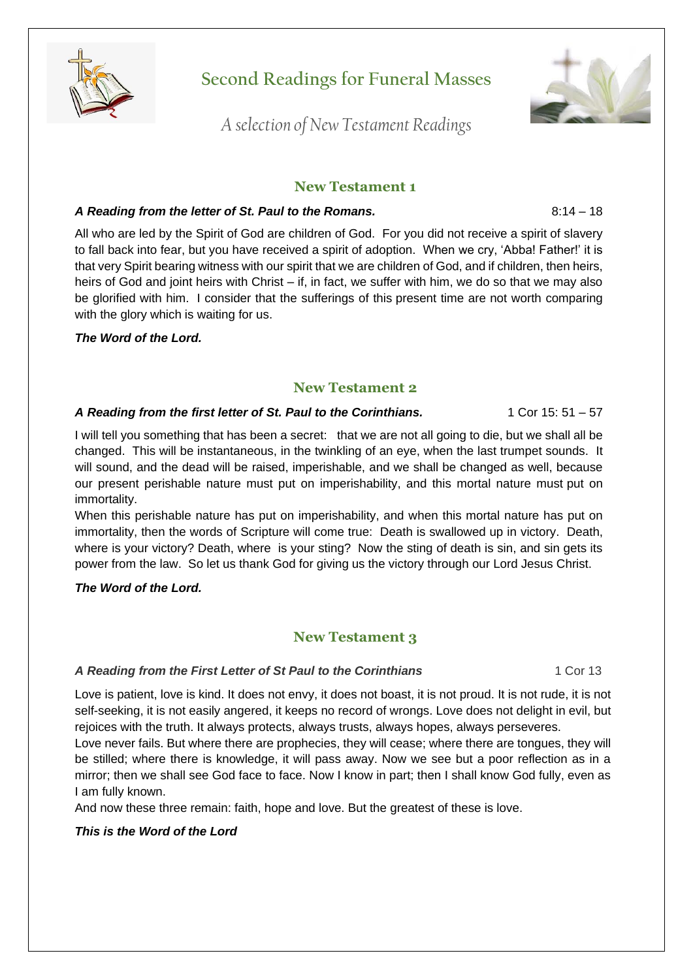

**Second Readings for Funeral Masses**

*A selection of New Testament Readings*

# **New Testament 1**

### A Reading from the letter of St. Paul to the Romans. **A Reading 19th 19th 19th** 8:14 – 18

All who are led by the Spirit of God are children of God. For you did not receive a spirit of slavery to fall back into fear, but you have received a spirit of adoption. When we cry, 'Abba! Father!' it is that very Spirit bearing witness with our spirit that we are children of God, and if children, then heirs, heirs of God and joint heirs with Christ – if, in fact, we suffer with him, we do so that we may also be glorified with him. I consider that the sufferings of this present time are not worth comparing with the glory which is waiting for us.

### *The Word of the Lord.*

# **New Testament 2**

### A Reading from the first letter of St. Paul to the Corinthians. 1 Cor 15: 51 – 57

I will tell you something that has been a secret: that we are not all going to die, but we shall all be changed. This will be instantaneous, in the twinkling of an eye, when the last trumpet sounds. It will sound, and the dead will be raised, imperishable, and we shall be changed as well, because our present perishable nature must put on imperishability, and this mortal nature must put on immortality.

When this perishable nature has put on imperishability, and when this mortal nature has put on immortality, then the words of Scripture will come true: Death is swallowed up in victory. Death, where is your victory? Death, where is your sting? Now the sting of death is sin, and sin gets its power from the law. So let us thank God for giving us the victory through our Lord Jesus Christ.

### *The Word of the Lord.*

# **New Testament 3**

### *A Reading from the First Letter of St Paul to the Corinthians* 1 Cor 13

Love is patient, love is kind. It does not envy, it does not boast, it is not proud. It is not rude, it is not self-seeking, it is not easily angered, it keeps no record of wrongs. Love does not delight in evil, but rejoices with the truth. It always protects, always trusts, always hopes, always perseveres.

Love never fails. But where there are prophecies, they will cease; where there are tongues, they will be stilled; where there is knowledge, it will pass away. Now we see but a poor reflection as in a mirror; then we shall see God face to face. Now I know in part; then I shall know God fully, even as I am fully known.

And now these three remain: faith, hope and love. But the greatest of these is love.

### *This is the Word of the Lord*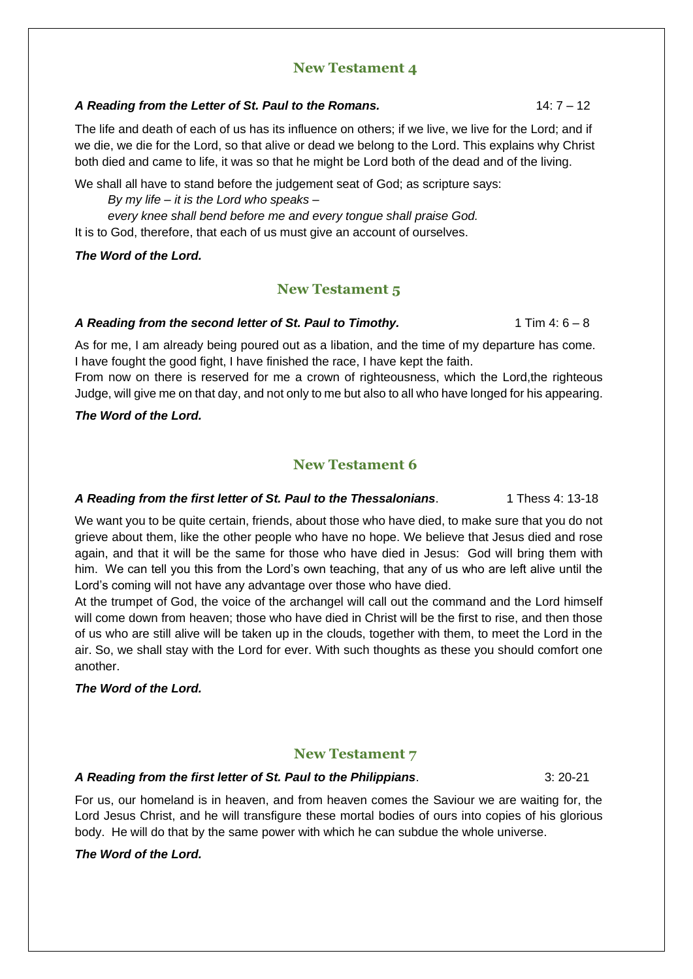# **New Testament 4**

#### A Reading from the Letter of St. Paul to the Romans. 14: 7 - 12

The life and death of each of us has its influence on others; if we live, we live for the Lord; and if we die, we die for the Lord, so that alive or dead we belong to the Lord. This explains why Christ both died and came to life, it was so that he might be Lord both of the dead and of the living.

We shall all have to stand before the judgement seat of God; as scripture says:

*By my life – it is the Lord who speaks –*

*every knee shall bend before me and every tongue shall praise God.* It is to God, therefore, that each of us must give an account of ourselves.

#### *The Word of the Lord.*

# **New Testament 5**

#### A Reading from the second letter of St. Paul to Timothy. 1 Tim 4: 6 – 8

As for me, I am already being poured out as a libation, and the time of my departure has come. I have fought the good fight, I have finished the race, I have kept the faith.

From now on there is reserved for me a crown of righteousness, which the Lord,the righteous Judge, will give me on that day, and not only to me but also to all who have longed for his appearing.

#### *The Word of the Lord.*

# **New Testament 6**

#### A Reading from the first letter of St. Paul to the Thessalonians. 1 Thess 4: 13-18

We want you to be quite certain, friends, about those who have died, to make sure that you do not grieve about them, like the other people who have no hope. We believe that Jesus died and rose again, and that it will be the same for those who have died in Jesus: God will bring them with him. We can tell you this from the Lord's own teaching, that any of us who are left alive until the Lord's coming will not have any advantage over those who have died.

At the trumpet of God, the voice of the archangel will call out the command and the Lord himself will come down from heaven; those who have died in Christ will be the first to rise, and then those of us who are still alive will be taken up in the clouds, together with them, to meet the Lord in the air. So, we shall stay with the Lord for ever. With such thoughts as these you should comfort one another.

### *The Word of the Lord.*

# **New Testament 7**

### *A Reading from the first letter of St. Paul to the Philippians*. 3: 20-21

For us, our homeland is in heaven, and from heaven comes the Saviour we are waiting for, the Lord Jesus Christ, and he will transfigure these mortal bodies of ours into copies of his glorious body. He will do that by the same power with which he can subdue the whole universe.

### *The Word of the Lord.*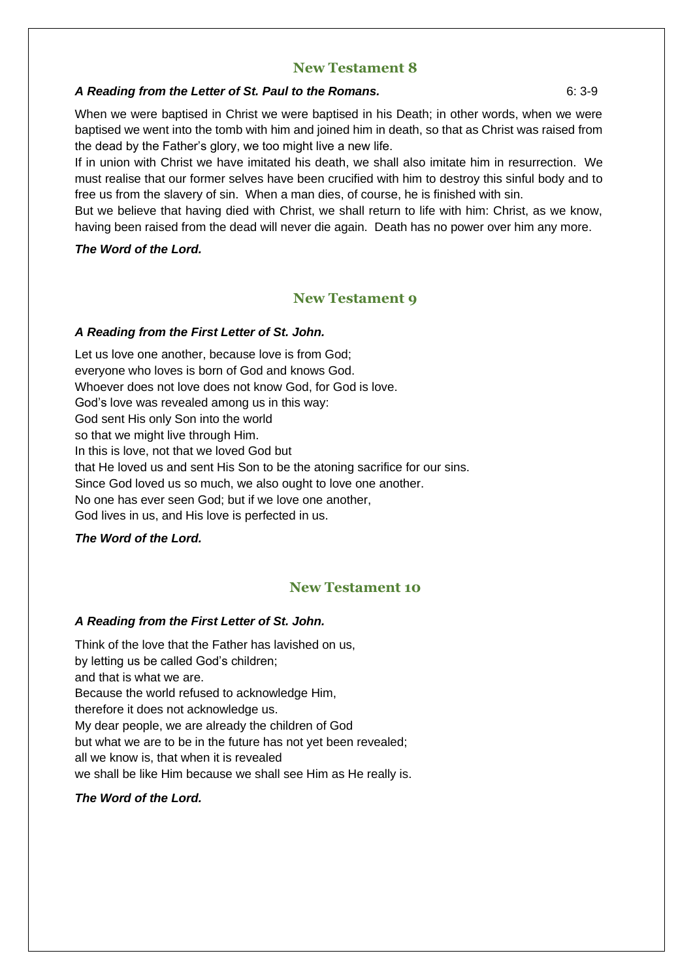# **New Testament 8**

#### *A Reading from the Letter of St. Paul to the Romans.* 6: 3-9

When we were baptised in Christ we were baptised in his Death; in other words, when we were baptised we went into the tomb with him and joined him in death, so that as Christ was raised from the dead by the Father's glory, we too might live a new life.

If in union with Christ we have imitated his death, we shall also imitate him in resurrection. We must realise that our former selves have been crucified with him to destroy this sinful body and to free us from the slavery of sin. When a man dies, of course, he is finished with sin.

But we believe that having died with Christ, we shall return to life with him: Christ, as we know, having been raised from the dead will never die again. Death has no power over him any more.

#### *The Word of the Lord.*

# **New Testament 9**

#### *A Reading from the First Letter of St. John.*

Let us love one another, because love is from God; everyone who loves is born of God and knows God. Whoever does not love does not know God, for God is love. God's love was revealed among us in this way: God sent His only Son into the world so that we might live through Him. In this is love, not that we loved God but that He loved us and sent His Son to be the atoning sacrifice for our sins. Since God loved us so much, we also ought to love one another. No one has ever seen God; but if we love one another, God lives in us, and His love is perfected in us.

### *The Word of the Lord.*

# **New Testament 10**

### *A Reading from the First Letter of St. John.*

Think of the love that the Father has lavished on us, by letting us be called God's children; and that is what we are. Because the world refused to acknowledge Him, therefore it does not acknowledge us. My dear people, we are already the children of God but what we are to be in the future has not yet been revealed; all we know is, that when it is revealed we shall be like Him because we shall see Him as He really is.

### *The Word of the Lord.*